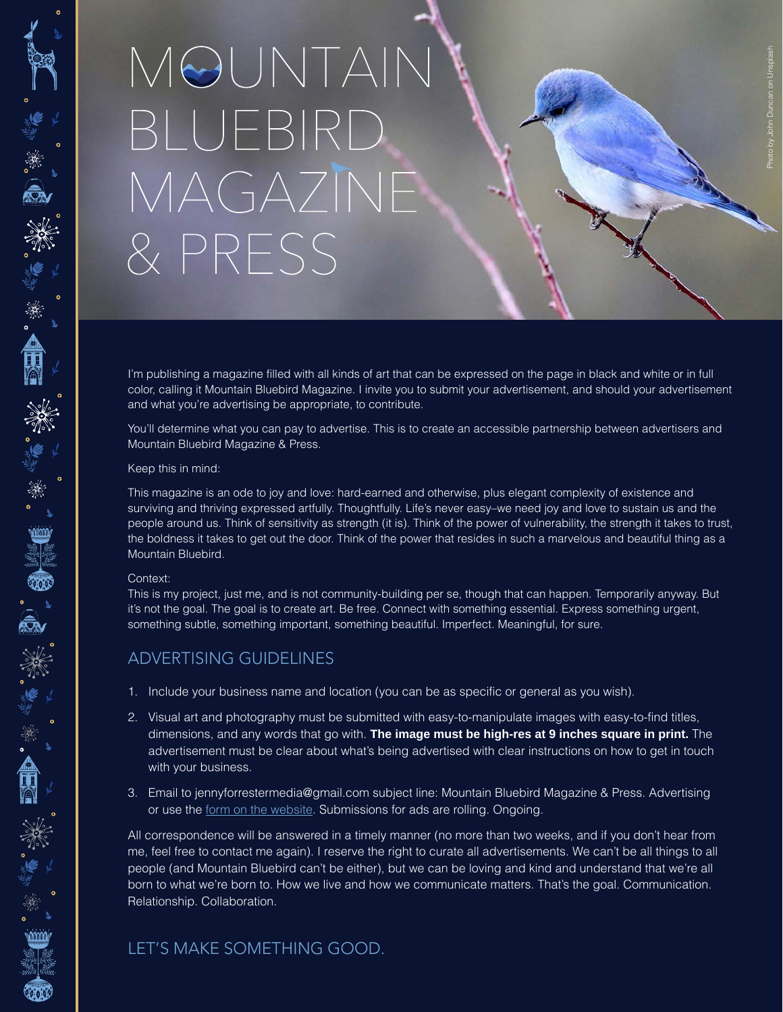# MOUNTAIN BLUEBIRD MAGAZINE & PRESS

I'm publishing a magazine filled with all kinds of art that can be expressed on the page in black and white or in full color, calling it Mountain Bluebird Magazine. I invite you to submit your advertisement, and should your advertisement and what you're advertising be appropriate, to contribute.

You'll determine what you can pay to advertise. This is to create an accessible partnership between advertisers and Mountain Bluebird Magazine & Press.

### Keep this in mind:

This magazine is an ode to joy and love: hard-earned and otherwise, plus elegant complexity of existence and surviving and thriving expressed artfully. Thoughtfully. Life's never easy–we need joy and love to sustain us and the people around us. Think of sensitivity as strength (it is). Think of the power of vulnerability, the strength it takes to trust, the boldness it takes to get out the door. Think of the power that resides in such a marvelous and beautiful thing as a Mountain Bluebird.

#### Context:

\*\*\*\*\*\*\*\*\*\*\*\*\*\*\*\*\*

)<br>【 图 】 【 】

"深美"

This is my project, just me, and is not community-building per se, though that can happen. Temporarily anyway. But it's not the goal. The goal is to create art. Be free. Connect with something essential. Express something urgent, something subtle, something important, something beautiful. Imperfect. Meaningful, for sure.

## ADVERTISING GUIDELINES

- 1. Include your business name and location (you can be as specific or general as you wish).
- 2. Visual art and photography must be submitted with easy-to-manipulate images with easy-to-find titles, dimensions, and any words that go with. **The image must be high-res at 9 inches square in print.** The advertisement must be clear about what's being advertised with clear instructions on how to get in touch with your business.
- 3. Email to jennyforrestermedia@gmail.com subject line: Mountain Bluebird Magazine & Press. Advertising or use the form on the website. Submissions for ads are rolling. Ongoing.

All correspondence will be answered in a timely manner (no more than two weeks, and if you don't hear from me, feel free to contact me again). I reserve the right to curate all advertisements. We can't be all things to all people (and Mountain Bluebird can't be either), but we can be loving and kind and understand that we're all born to what we're born to. How we live and how we communicate matters. That's the goal. Communication. Relationship. Collaboration.

## LET'S MAKE SOMETHING GOOD.